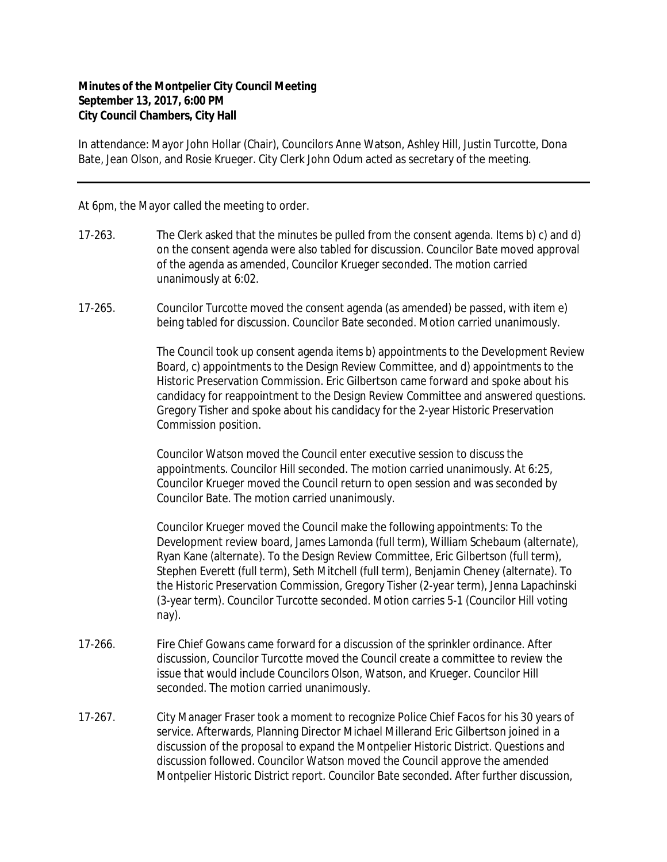## **Minutes of the Montpelier City Council Meeting September 13, 2017, 6:00 PM City Council Chambers, City Hall**

In attendance: Mayor John Hollar (Chair), Councilors Anne Watson, Ashley Hill, Justin Turcotte, Dona Bate, Jean Olson, and Rosie Krueger. City Clerk John Odum acted as secretary of the meeting.

At 6pm, the Mayor called the meeting to order.

- 17-263. The Clerk asked that the minutes be pulled from the consent agenda. Items b) c) and d) on the consent agenda were also tabled for discussion. Councilor Bate moved approval of the agenda as amended, Councilor Krueger seconded. The motion carried unanimously at 6:02.
- 17-265. Councilor Turcotte moved the consent agenda (as amended) be passed, with item e) being tabled for discussion. Councilor Bate seconded. Motion carried unanimously.

The Council took up consent agenda items b) appointments to the Development Review Board, c) appointments to the Design Review Committee, and d) appointments to the Historic Preservation Commission. Eric Gilbertson came forward and spoke about his candidacy for reappointment to the Design Review Committee and answered questions. Gregory Tisher and spoke about his candidacy for the 2-year Historic Preservation Commission position.

Councilor Watson moved the Council enter executive session to discuss the appointments. Councilor Hill seconded. The motion carried unanimously. At 6:25, Councilor Krueger moved the Council return to open session and was seconded by Councilor Bate. The motion carried unanimously.

Councilor Krueger moved the Council make the following appointments: To the Development review board, James Lamonda (full term), William Schebaum (alternate), Ryan Kane (alternate). To the Design Review Committee, Eric Gilbertson (full term), Stephen Everett (full term), Seth Mitchell (full term), Benjamin Cheney (alternate). To the Historic Preservation Commission, Gregory Tisher (2-year term), Jenna Lapachinski (3-year term). Councilor Turcotte seconded. Motion carries 5-1 (Councilor Hill voting nay).

- 17-266. Fire Chief Gowans came forward for a discussion of the sprinkler ordinance. After discussion, Councilor Turcotte moved the Council create a committee to review the issue that would include Councilors Olson, Watson, and Krueger. Councilor Hill seconded. The motion carried unanimously.
- 17-267. City Manager Fraser took a moment to recognize Police Chief Facos for his 30 years of service. Afterwards, Planning Director Michael Millerand Eric Gilbertson joined in a discussion of the proposal to expand the Montpelier Historic District. Questions and discussion followed. Councilor Watson moved the Council approve the amended Montpelier Historic District report. Councilor Bate seconded. After further discussion,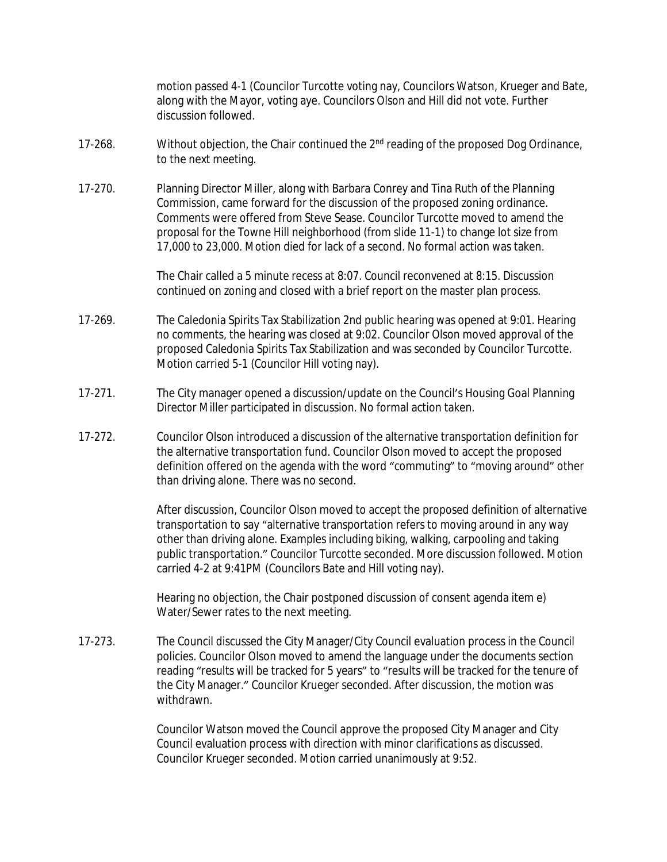motion passed 4-1 (Councilor Turcotte voting nay, Councilors Watson, Krueger and Bate, along with the Mayor, voting aye. Councilors Olson and Hill did not vote. Further discussion followed.

- 17-268. Without objection, the Chair continued the 2<sup>nd</sup> reading of the proposed Dog Ordinance, to the next meeting.
- 17-270. Planning Director Miller, along with Barbara Conrey and Tina Ruth of the Planning Commission, came forward for the discussion of the proposed zoning ordinance. Comments were offered from Steve Sease. Councilor Turcotte moved to amend the proposal for the Towne Hill neighborhood (from slide 11-1) to change lot size from 17,000 to 23,000. Motion died for lack of a second. No formal action was taken.

The Chair called a 5 minute recess at 8:07. Council reconvened at 8:15. Discussion continued on zoning and closed with a brief report on the master plan process.

- 17-269. The Caledonia Spirits Tax Stabilization 2nd public hearing was opened at 9:01. Hearing no comments, the hearing was closed at 9:02. Councilor Olson moved approval of the proposed Caledonia Spirits Tax Stabilization and was seconded by Councilor Turcotte. Motion carried 5-1 (Councilor Hill voting nay).
- 17-271. The City manager opened a discussion/update on the Council's Housing Goal Planning Director Miller participated in discussion. No formal action taken.
- 17-272. Councilor Olson introduced a discussion of the alternative transportation definition for the alternative transportation fund. Councilor Olson moved to accept the proposed definition offered on the agenda with the word "commuting" to "moving around" other than driving alone. There was no second.

After discussion, Councilor Olson moved to accept the proposed definition of alternative transportation to say "alternative transportation refers to moving around in any way other than driving alone. Examples including biking, walking, carpooling and taking public transportation." Councilor Turcotte seconded. More discussion followed. Motion carried 4-2 at 9:41PM (Councilors Bate and Hill voting nay).

Hearing no objection, the Chair postponed discussion of consent agenda item e) Water/Sewer rates to the next meeting.

17-273. The Council discussed the City Manager/City Council evaluation process in the Council policies. Councilor Olson moved to amend the language under the documents section reading "results will be tracked for 5 years" to "results will be tracked for the tenure of the City Manager." Councilor Krueger seconded. After discussion, the motion was withdrawn.

> Councilor Watson moved the Council approve the proposed City Manager and City Council evaluation process with direction with minor clarifications as discussed. Councilor Krueger seconded. Motion carried unanimously at 9:52.